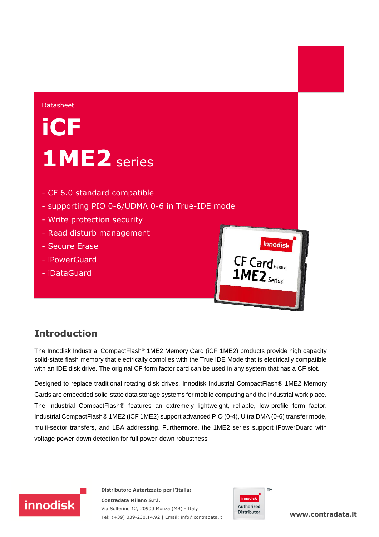#### Datasheet

# **iCF 1ME2** series

- CF 6.0 standard compatible
- supporting PIO 0-6/UDMA 0-6 in True-IDE mode
- Write protection security
- Read disturb management
- Secure Erase
- iPowerGuard
- iDataGuard



#### **Introduction**

The Innodisk Industrial CompactFlash® 1ME2 Memory Card (iCF 1ME2) products provide high capacity solid-state flash memory that electrically complies with the True IDE Mode that is electrically compatible with an IDE disk drive. The original CF form factor card can be used in any system that has a CF slot.

Designed to replace traditional rotating disk drives, Innodisk Industrial CompactFlash® 1ME2 Memory Cards are embedded solid-state data storage systems for mobile computing and the industrial work place. The Industrial CompactFlash® features an extremely lightweight, reliable, low-profile form factor. Industrial CompactFlash® 1ME2 (iCF 1ME2) support advanced PIO (0-4), Ultra DMA (0-6) transfer mode, multi-sector transfers, and LBA addressing. Furthermore, the 1ME2 series support iPowerDuard with voltage power-down detection for full power-down robustness



**Distributore Autorizzato per l'Italia: Contradata Milano S.r.l.** Via Solferino 12, 20900 Monza (MB) - Italy Tel: (+39) 039-230.14.92 | Email: [info@contradata.it](mailto:info@contradata.it)